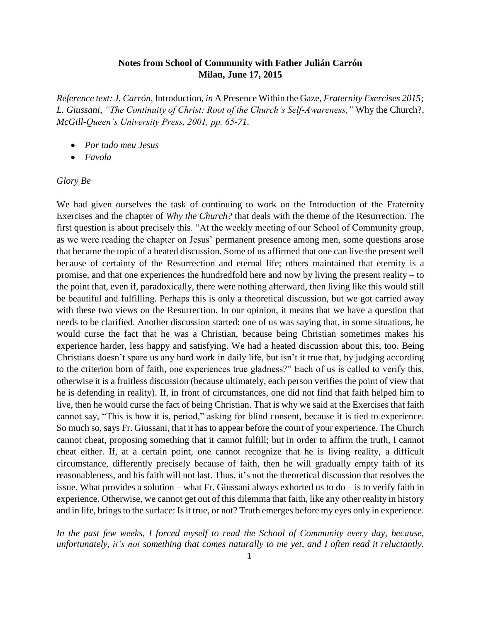## **Notes from School of Community with Father Julián Carrón Milan, June 17, 2015**

*Reference text: J. Carrón,* Introduction*, in* A Presence Within the Gaze, *Fraternity Exercises 2015; L. Giussani, "The Continuity of Christ: Root of the Church's Self-Awareness,"* Why the Church?*, McGill-Queen's University Press, 2001, pp. 65-71.*

- *Por tudo meu Jesus*
- *Favola*

## *Glory Be*

We had given ourselves the task of continuing to work on the Introduction of the Fraternity Exercises and the chapter of *Why the Church?* that deals with the theme of the Resurrection. The first question is about precisely this. "At the weekly meeting of our School of Community group, as we were reading the chapter on Jesus' permanent presence among men, some questions arose that became the topic of a heated discussion. Some of us affirmed that one can live the present well because of certainty of the Resurrection and eternal life; others maintained that eternity is a promise, and that one experiences the hundredfold here and now by living the present reality – to the point that, even if, paradoxically, there were nothing afterward, then living like this would still be beautiful and fulfilling. Perhaps this is only a theoretical discussion, but we got carried away with these two views on the Resurrection. In our opinion, it means that we have a question that needs to be clarified. Another discussion started: one of us was saying that, in some situations, he would curse the fact that he was a Christian, because being Christian sometimes makes his experience harder, less happy and satisfying. We had a heated discussion about this, too. Being Christians doesn't spare us any hard work in daily life, but isn't it true that, by judging according to the criterion born of faith, one experiences true gladness?" Each of us is called to verify this, otherwise it is a fruitless discussion (because ultimately, each person verifies the point of view that he is defending in reality). If, in front of circumstances, one did not find that faith helped him to live, then he would curse the fact of being Christian. That is why we said at the Exercises that faith cannot say, "This is how it is, period," asking for blind consent, because it is tied to experience. So much so, says Fr. Giussani, that it has to appear before the court of your experience. The Church cannot cheat, proposing something that it cannot fulfill; but in order to affirm the truth, I cannot cheat either. If, at a certain point, one cannot recognize that he is living reality, a difficult circumstance, differently precisely because of faith, then he will gradually empty faith of its reasonableness, and his faith will not last. Thus, it's not the theoretical discussion that resolves the issue. What provides a solution – what Fr. Giussani always exhorted us to do – is to verify faith in experience. Otherwise, we cannot get out of this dilemma that faith, like any other reality in history and in life, brings to the surface: Is it true, or not? Truth emerges before my eyes only in experience.

*In the past few weeks, I forced myself to read the School of Community every day, because, unfortunately, it's not something that comes naturally to me yet, and I often read it reluctantly.*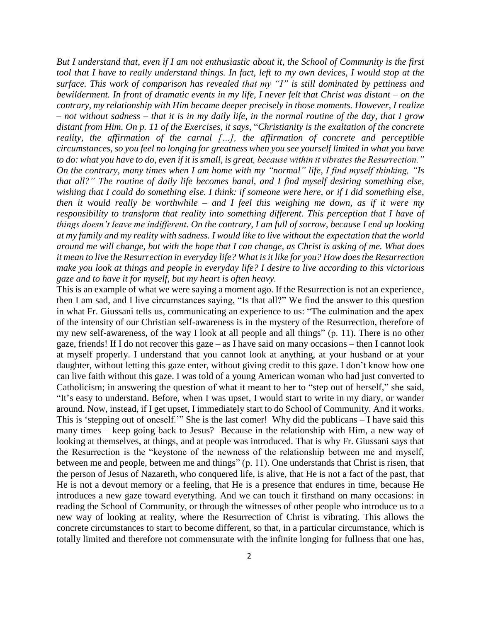*But I understand that, even if I am not enthusiastic about it, the School of Community is the first tool that I have to really understand things. In fact, left to my own devices, I would stop at the surface. This work of comparison has revealed that my "I" is still dominated by pettiness and bewilderment. In front of dramatic events in my life, I never felt that Christ was distant – on the contrary, my relationship with Him became deeper precisely in those moments. However, I realize – not without sadness – that it is in my daily life, in the normal routine of the day, that I grow distant from Him. On p. 11 of the Exercises, it says,* "*Christianity is the exaltation of the concrete reality, the affirmation of the carnal […], the affirmation of concrete and perceptible circumstances, so you feel no longing for greatness when you see yourself limited in what you have to do: what you have to do, even if it is small, is great, because within it vibrates the Resurrection." On the contrary, many times when I am home with my "normal" life, I find myself thinking, "Is that all?" The routine of daily life becomes banal, and I find myself desiring something else, wishing that I could do something else. I think: if someone were here, or if I did something else, then it would really be worthwhile – and I feel this weighing me down, as if it were my responsibility to transform that reality into something different. This perception that I have of things doesn't leave me indifferent. On the contrary, I am full of sorrow, because I end up looking at my family and my reality with sadness. I would like to live without the expectation that the world around me will change, but with the hope that I can change, as Christ is asking of me. What does it mean to live the Resurrection in everyday life? What is it like for you? How does the Resurrection make you look at things and people in everyday life? I desire to live according to this victorious gaze and to have it for myself, but my heart is often heavy.*

This is an example of what we were saying a moment ago. If the Resurrection is not an experience, then I am sad, and I live circumstances saying, "Is that all?" We find the answer to this question in what Fr. Giussani tells us, communicating an experience to us: "The culmination and the apex of the intensity of our Christian self-awareness is in the mystery of the Resurrection, therefore of my new self-awareness, of the way I look at all people and all things" (p. 11). There is no other gaze, friends! If I do not recover this gaze – as I have said on many occasions – then I cannot look at myself properly. I understand that you cannot look at anything, at your husband or at your daughter, without letting this gaze enter, without giving credit to this gaze. I don't know how one can live faith without this gaze. I was told of a young American woman who had just converted to Catholicism; in answering the question of what it meant to her to "step out of herself," she said, "It's easy to understand. Before, when I was upset, I would start to write in my diary, or wander around. Now, instead, if I get upset, I immediately start to do School of Community. And it works. This is 'stepping out of oneself.'" She is the last comer! Why did the publicans – I have said this many times – keep going back to Jesus? Because in the relationship with Him, a new way of looking at themselves, at things, and at people was introduced. That is why Fr. Giussani says that the Resurrection is the "keystone of the newness of the relationship between me and myself, between me and people, between me and things" (p. 11). One understands that Christ is risen, that the person of Jesus of Nazareth, who conquered life, is alive, that He is not a fact of the past, that He is not a devout memory or a feeling, that He is a presence that endures in time, because He introduces a new gaze toward everything. And we can touch it firsthand on many occasions: in reading the School of Community, or through the witnesses of other people who introduce us to a new way of looking at reality, where the Resurrection of Christ is vibrating. This allows the concrete circumstances to start to become different, so that, in a particular circumstance, which is totally limited and therefore not commensurate with the infinite longing for fullness that one has,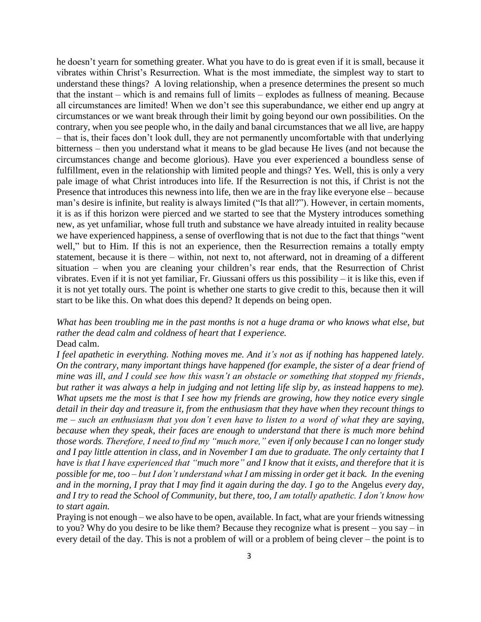he doesn't yearn for something greater. What you have to do is great even if it is small, because it vibrates within Christ's Resurrection. What is the most immediate, the simplest way to start to understand these things? A loving relationship, when a presence determines the present so much that the instant – which is and remains full of limits – explodes as fullness of meaning. Because all circumstances are limited! When we don't see this superabundance, we either end up angry at circumstances or we want break through their limit by going beyond our own possibilities. On the contrary, when you see people who, in the daily and banal circumstances that we all live, are happy – that is, their faces don't look dull, they are not permanently uncomfortable with that underlying bitterness – then you understand what it means to be glad because He lives (and not because the circumstances change and become glorious). Have you ever experienced a boundless sense of fulfillment, even in the relationship with limited people and things? Yes. Well, this is only a very pale image of what Christ introduces into life. If the Resurrection is not this, if Christ is not the Presence that introduces this newness into life, then we are in the fray like everyone else – because man's desire is infinite, but reality is always limited ("Is that all?"). However, in certain moments, it is as if this horizon were pierced and we started to see that the Mystery introduces something new, as yet unfamiliar, whose full truth and substance we have already intuited in reality because we have experienced happiness, a sense of overflowing that is not due to the fact that things "went well," but to Him. If this is not an experience, then the Resurrection remains a totally empty statement, because it is there – within, not next to, not afterward, not in dreaming of a different situation – when you are cleaning your children's rear ends, that the Resurrection of Christ vibrates. Even if it is not yet familiar, Fr. Giussani offers us this possibility – it is like this, even if it is not yet totally ours. The point is whether one starts to give credit to this, because then it will start to be like this. On what does this depend? It depends on being open.

*What has been troubling me in the past months is not a huge drama or who knows what else, but rather the dead calm and coldness of heart that I experience.* Dead calm.

*I feel apathetic in everything. Nothing moves me. And it's not as if nothing has happened lately. On the contrary, many important things have happened (for example, the sister of a dear friend of mine was ill, and I could see how this wasn't an obstacle or something that stopped my friends, but rather it was always a help in judging and not letting life slip by, as instead happens to me). What upsets me the most is that I see how my friends are growing, how they notice every single detail in their day and treasure it, from the enthusiasm that they have when they recount things to me – such an enthusiasm that you don't even have to listen to a word of what they are saying, because when they speak, their faces are enough to understand that there is much more behind those words. Therefore, I need to find my "much more," even if only because I can no longer study and I pay little attention in class, and in November I am due to graduate. The only certainty that I have is that I have experienced that "much more" and I know that it exists, and therefore that it is possible for me, too – but I don't understand what I am missing in order get it back. In the evening and in the morning, I pray that I may find it again during the day. I go to the* Angelus *every day, and I try to read the School of Community, but there, too, I am totally apathetic. I don't know how to start again.*

Praying is not enough – we also have to be open, available. In fact, what are your friends witnessing to you? Why do you desire to be like them? Because they recognize what is present – you say – in every detail of the day. This is not a problem of will or a problem of being clever – the point is to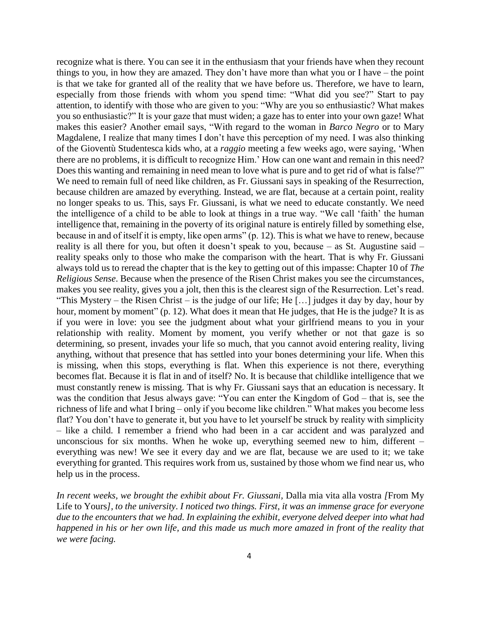recognize what is there. You can see it in the enthusiasm that your friends have when they recount things to you, in how they are amazed. They don't have more than what you or I have – the point is that we take for granted all of the reality that we have before us. Therefore, we have to learn, especially from those friends with whom you spend time: "What did you see?" Start to pay attention, to identify with those who are given to you: "Why are you so enthusiastic? What makes you so enthusiastic?" It is your gaze that must widen; a gaze has to enter into your own gaze! What makes this easier? Another email says, "With regard to the woman in *Barco Negro* or to Mary Magdalene, I realize that many times I don't have this perception of my need. I was also thinking of the Gioventù Studentesca kids who, at a *raggio* meeting a few weeks ago, were saying, 'When there are no problems, it is difficult to recognize Him.' How can one want and remain in this need? Does this wanting and remaining in need mean to love what is pure and to get rid of what is false?" We need to remain full of need like children, as Fr. Giussani says in speaking of the Resurrection, because children are amazed by everything. Instead, we are flat, because at a certain point, reality no longer speaks to us. This, says Fr. Giussani, is what we need to educate constantly. We need the intelligence of a child to be able to look at things in a true way. "We call 'faith' the human intelligence that, remaining in the poverty of its original nature is entirely filled by something else, because in and of itself it is empty, like open arms" (p. 12). This is what we have to renew, because reality is all there for you, but often it doesn't speak to you, because – as St. Augustine said – reality speaks only to those who make the comparison with the heart. That is why Fr. Giussani always told us to reread the chapter that is the key to getting out of this impasse: Chapter 10 of *The Religious Sense*. Because when the presence of the Risen Christ makes you see the circumstances, makes you see reality, gives you a jolt, then this is the clearest sign of the Resurrection. Let's read. "This Mystery – the Risen Christ – is the judge of our life; He [...] judges it day by day, hour by hour, moment by moment" (p. 12). What does it mean that He judges, that He is the judge? It is as if you were in love: you see the judgment about what your girlfriend means to you in your relationship with reality. Moment by moment, you verify whether or not that gaze is so determining, so present, invades your life so much, that you cannot avoid entering reality, living anything, without that presence that has settled into your bones determining your life. When this is missing, when this stops, everything is flat. When this experience is not there, everything becomes flat. Because it is flat in and of itself? No. It is because that childlike intelligence that we must constantly renew is missing. That is why Fr. Giussani says that an education is necessary. It was the condition that Jesus always gave: "You can enter the Kingdom of God – that is, see the richness of life and what I bring – only if you become like children." What makes you become less flat? You don't have to generate it, but you have to let yourself be struck by reality with simplicity – like a child. I remember a friend who had been in a car accident and was paralyzed and unconscious for six months. When he woke up, everything seemed new to him, different – everything was new! We see it every day and we are flat, because we are used to it; we take everything for granted. This requires work from us, sustained by those whom we find near us, who help us in the process.

*In recent weeks, we brought the exhibit about Fr. Giussani,* Dalla mia vita alla vostra *[*From My Life to Yours*], to the university*. *I noticed two things. First, it was an immense grace for everyone due to the encounters that we had. In explaining the exhibit, everyone delved deeper into what had happened in his or her own life, and this made us much more amazed in front of the reality that we were facing.*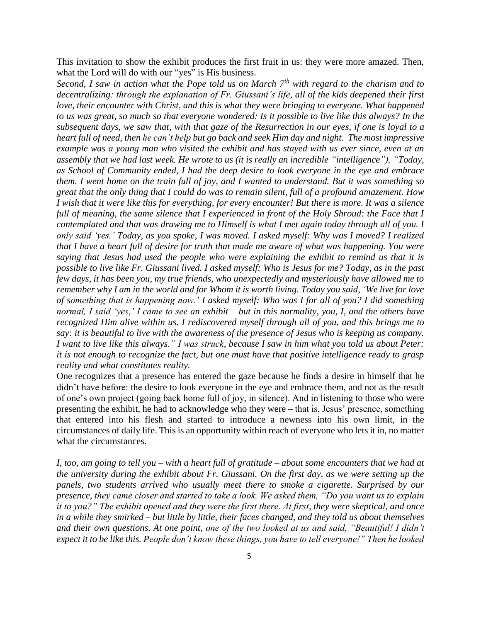This invitation to show the exhibit produces the first fruit in us: they were more amazed. Then, what the Lord will do with our "yes" is His business.

*Second, I saw in action what the Pope told us on March 7th with regard to the charism and to decentralizing: through the explanation of Fr. Giussani's life, all of the kids deepened their first love, their encounter with Christ, and this is what they were bringing to everyone. What happened to us was great, so much so that everyone wondered: Is it possible to live like this always? In the subsequent days, we saw that, with that gaze of the Resurrection in our eyes, if one is loyal to a heart full of need, then he can't help but go back and seek Him day and night. The most impressive example was a young man who visited the exhibit and has stayed with us ever since, even at an assembly that we had last week. He wrote to us (it is really an incredible "intelligence"), "Today, as School of Community ended, I had the deep desire to look everyone in the eye and embrace them. I went home on the train full of joy, and I wanted to understand. But it was something so great that the only thing that I could do was to remain silent, full of a profound amazement. How I wish that it were like this for everything, for every encounter! But there is more. It was a silence*  full of meaning, the same silence that I experienced in front of the Holy Shroud: the Face that I *contemplated and that was drawing me to Himself is what I met again today through all of you. I only said 'yes.' Today, as you spoke, I was moved. I asked myself: Why was I moved? I realized that I have a heart full of desire for truth that made me aware of what was happening. You were saying that Jesus had used the people who were explaining the exhibit to remind us that it is possible to live like Fr. Giussani lived. I asked myself: Who is Jesus for me? Today, as in the past few days, it has been you, my true friends, who unexpectedly and mysteriously have allowed me to remember why I am in the world and for Whom it is worth living. Today you said, 'We live for love of something that is happening now.' I asked myself: Who was I for all of you? I did something normal, I said 'yes,' I came to see an exhibit – but in this normality, you, I, and the others have recognized Him alive within us. I rediscovered myself through all of you, and this brings me to say: it is beautiful to live with the awareness of the presence of Jesus who is keeping us company. I want to live like this always." I was struck, because I saw in him what you told us about Peter: it is not enough to recognize the fact, but one must have that positive intelligence ready to grasp reality and what constitutes reality.*

One recognizes that a presence has entered the gaze because he finds a desire in himself that he didn't have before: the desire to look everyone in the eye and embrace them, and not as the result of one's own project (going back home full of joy, in silence). And in listening to those who were presenting the exhibit, he had to acknowledge who they were – that is, Jesus' presence, something that entered into his flesh and started to introduce a newness into his own limit, in the circumstances of daily life. This is an opportunity within reach of everyone who lets it in, no matter what the circumstances.

*I, too, am going to tell you – with a heart full of gratitude – about some encounters that we had at the university during the exhibit about Fr. Giussani. On the first day, as we were setting up the panels, two students arrived who usually meet there to smoke a cigarette. Surprised by our presence, they came closer and started to take a look. We asked them, "Do you want us to explain it to you?" The exhibit opened and they were the first there. At first, they were skeptical, and once in a while they smirked – but little by little, their faces changed, and they told us about themselves and their own questions. At one point, one of the two looked at us and said, "Beautiful! I didn't expect it to be like this. People don't know these things, you have to tell everyone!" Then he looked*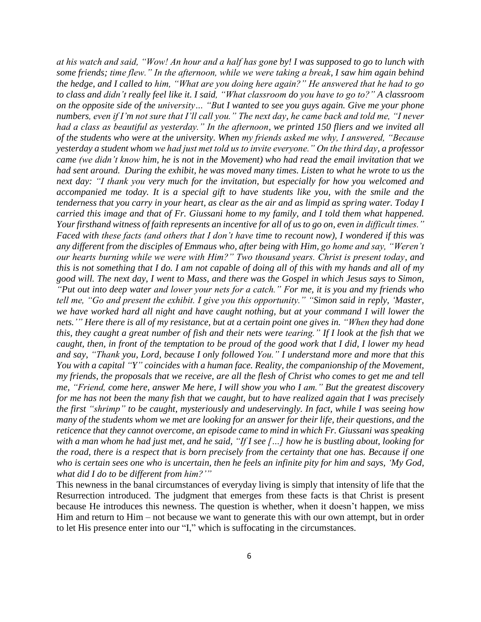*at his watch and said, "Wow! An hour and a half has gone by! I was supposed to go to lunch with some friends; time flew." In the afternoon, while we were taking a break, I saw him again behind the hedge, and I called to him, "What are you doing here again?" He answered that he had to go to class and didn't really feel like it. I said, "What classroom do you have to go to?" A classroom on the opposite side of the university… "But I wanted to see you guys again. Give me your phone numbers, even if I'm not sure that I'll call you." The next day, he came back and told me, "I never had a class as beautiful as yesterday." In the afternoon, we printed 150 fliers and we invited all of the students who were at the university. When my friends asked me why, I answered, "Because yesterday a student whom we had just met told us to invite everyone." On the third day, a professor came (we didn't know him, he is not in the Movement) who had read the email invitation that we had sent around. During the exhibit, he was moved many times. Listen to what he wrote to us the next day: "I thank you very much for the invitation, but especially for how you welcomed and accompanied me today. It is a special gift to have students like you, with the smile and the tenderness that you carry in your heart, as clear as the air and as limpid as spring water. Today I carried this image and that of Fr. Giussani home to my family, and I told them what happened. Your firsthand witness of faith represents an incentive for all of us to go on, even in difficult times." Faced with these facts (and others that I don't have time to recount now), I wondered if this was any different from the disciples of Emmaus who, after being with Him, go home and say, "Weren't our hearts burning while we were with Him?" Two thousand years. Christ is present today, and this is not something that I do. I am not capable of doing all of this with my hands and all of my good will. The next day, I went to Mass, and there was the Gospel in which Jesus says to Simon, "Put out into deep water and lower your nets for a catch." For me, it is you and my friends who tell me, "Go and present the exhibit. I give you this opportunity." "Simon said in reply, 'Master, we have worked hard all night and have caught nothing, but at your command I will lower the* nets.'" Here there is all of my resistance, but at a certain point one gives in. "When they had done this, they caught a great number of fish and their nets were tearing." If I look at the fish that we caught, then, in front of the temptation to be proud of the good work that I did, I lower my head *and say, "Thank you, Lord, because I only followed You." I understand more and more that this You with a capital "Y" coincides with a human face. Reality, the companionship of the Movement,* my friends, the proposals that we receive, are all the flesh of Christ who comes to get me and tell *me, "Friend, come here, answer Me here, I will show you who I am." But the greatest discovery* for me has not been the many fish that we caught, but to have realized again that I was precisely *the first "shrimp" to be caught, mysteriously and undeservingly. In fact, while I was seeing how* many of the students whom we met are looking for an answer for their life, their questions, and the *reticence that they cannot overcome, an episode came to mind in which Fr. Giussani was speaking* with a man whom he had just met, and he said, "If I see [...] how he is bustling about, looking for the road, there is a respect that is born precisely from the certainty that one has. Because if one who is certain sees one who is uncertain, then he feels an infinite pity for him and says, 'My God, *what did I do to be different from him?'"*

This newness in the banal circumstances of everyday living is simply that intensity of life that the Resurrection introduced. The judgment that emerges from these facts is that Christ is present because He introduces this newness. The question is whether, when it doesn't happen, we miss Him and return to Him – not because we want to generate this with our own attempt, but in order to let His presence enter into our "I," which is suffocating in the circumstances.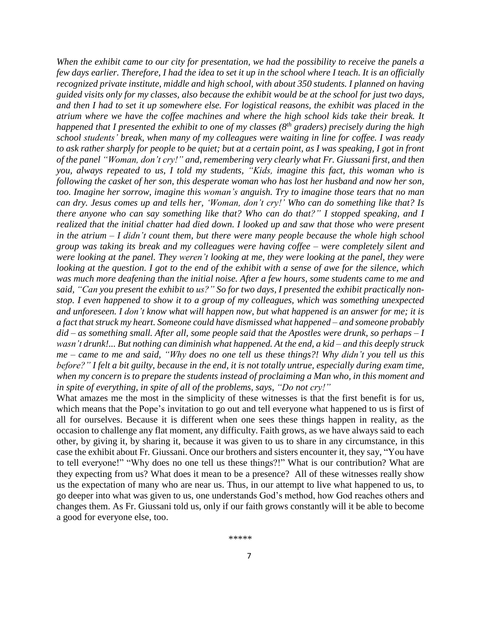*When the exhibit came to our city for presentation, we had the possibility to receive the panels a* few days earlier. Therefore, I had the idea to set it up in the school where I teach. It is an officially *recognized private institute, middle and high school, with about 350 students. I planned on having* guided visits only for my classes, also because the exhibit would be at the school for just two days, and then I had to set it up somewhere else. For logistical reasons, the exhibit was placed in the *atrium where we have the coffee machines and where the high school kids take their break. It* happened that I presented the exhibit to one of my classes ( $8^{th}$  graders) precisely during the high *school students' break, when many of my colleagues were waiting in line for coffee. I was ready* to ask rather sharply for people to be quiet; but at a certain point, as I was speaking, I got in front *of the panel "Woman, don't cry!" and, remembering very clearly what Fr. Giussani first, and then you, always repeated to us, I told my students, "Kids, imagine this fact, this woman who is following the casket of her son, this desperate woman who has lost her husband and now her son, too. Imagine her sorrow, imagine this woman's anguish. Try to imagine those tears that no man can dry. Jesus comes up and tells her, 'Woman, don't cry!' Who can do something like that? Is there anyone who can say something like that? Who can do that?" I stopped speaking, and I realized that the initial chatter had died down. I looked up and saw that those who were present in the atrium – I didn't count them, but there were many people because the whole high school group was taking its break and my colleagues were having coffee – were completely silent and were looking at the panel. They weren't looking at me, they were looking at the panel, they were* looking at the question. I got to the end of the exhibit with a sense of awe for the silence, which *was much more deafening than the initial noise. After a few hours, some students came to me and* said, "Can you present the exhibit to us?" So for two days, I presented the exhibit practically non*stop. I even happened to show it to a group of my colleagues, which was something unexpected* and unforeseen. I don't know what will happen now, but what happened is an answer for me; it is *a fact thatstruck my heart. Someone could have dismissed what happened – and someone probably*  $did - as$  something small. After all, some people said that the Apostles were drunk, so perhaps  $-I$ wasn't drunk!... But nothing can diminish what happened. At the end, a kid – and this deeply struck  $me-came$  to me and said, "Why does no one tell us these things?! Why didn't you tell us this before?" I felt a bit guilty, because in the end, it is not totally untrue, especially during exam time, *when my concern is to prepare the students instead of proclaiming a Man who, in this moment and in spite of everything, in spite of all of the problems, says, "Do not cry!"*

What amazes me the most in the simplicity of these witnesses is that the first benefit is for us, which means that the Pope's invitation to go out and tell everyone what happened to us is first of all for ourselves. Because it is different when one sees these things happen in reality, as the occasion to challenge any flat moment, any difficulty. Faith grows, as we have always said to each other, by giving it, by sharing it, because it was given to us to share in any circumstance, in this case the exhibit about Fr. Giussani. Once our brothers and sisters encounter it, they say, "You have to tell everyone!" "Why does no one tell us these things?!" What is our contribution? What are they expecting from us? What does it mean to be a presence? All of these witnesses really show us the expectation of many who are near us. Thus, in our attempt to live what happened to us, to go deeper into what was given to us, one understands God's method, how God reaches others and changes them. As Fr. Giussani told us, only if our faith grows constantly will it be able to become a good for everyone else, too.

\*\*\*\*\*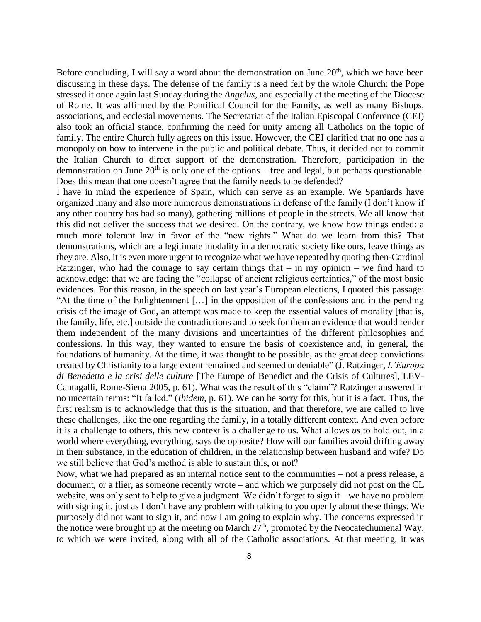Before concluding, I will say a word about the demonstration on June  $20<sup>th</sup>$ , which we have been discussing in these days. The defense of the family is a need felt by the whole Church: the Pope stressed it once again last Sunday during the *Angelus*, and especially at the meeting of the Diocese of Rome. It was affirmed by the Pontifical Council for the Family, as well as many Bishops, associations, and ecclesial movements. The Secretariat of the Italian Episcopal Conference (CEI) also took an official stance, confirming the need for unity among all Catholics on the topic of family. The entire Church fully agrees on this issue. However, the CEI clarified that no one has a monopoly on how to intervene in the public and political debate. Thus, it decided not to commit the Italian Church to direct support of the demonstration. Therefore, participation in the demonstration on June  $20<sup>th</sup>$  is only one of the options – free and legal, but perhaps questionable. Does this mean that one doesn't agree that the family needs to be defended?

I have in mind the experience of Spain, which can serve as an example. We Spaniards have organized many and also more numerous demonstrations in defense of the family (I don't know if any other country has had so many), gathering millions of people in the streets. We all know that this did not deliver the success that we desired. On the contrary, we know how things ended: a much more tolerant law in favor of the "new rights." What do we learn from this? That demonstrations, which are a legitimate modality in a democratic society like ours, leave things as they are. Also, it is even more urgent to recognize what we have repeated by quoting then-Cardinal Ratzinger, who had the courage to say certain things that  $-$  in my opinion  $-$  we find hard to acknowledge: that we are facing the "collapse of ancient religious certainties," of the most basic evidences. For this reason, in the speech on last year's European elections, I quoted this passage: "At the time of the Enlightenment […] in the opposition of the confessions and in the pending crisis of the image of God, an attempt was made to keep the essential values of morality [that is, the family, life, etc.] outside the contradictions and to seek for them an evidence that would render them independent of the many divisions and uncertainties of the different philosophies and confessions. In this way, they wanted to ensure the basis of coexistence and, in general, the foundations of humanity. At the time, it was thought to be possible, as the great deep convictions created by Christianity to a large extent remained and seemed undeniable" (J. Ratzinger, *L'Europa di Benedetto e la crisi delle culture* [The Europe of Benedict and the Crisis of Cultures], LEV-Cantagalli, Rome-Siena 2005, p. 61). What was the result of this "claim"? Ratzinger answered in no uncertain terms: "It failed." (*Ibidem*, p. 61). We can be sorry for this, but it is a fact. Thus, the first realism is to acknowledge that this is the situation, and that therefore, we are called to live these challenges, like the one regarding the family, in a totally different context. And even before it is a challenge to others, this new context is a challenge to us. What allows *us* to hold out, in a world where everything, everything, says the opposite? How will our families avoid drifting away in their substance, in the education of children, in the relationship between husband and wife? Do we still believe that God's method is able to sustain this, or not?

Now, what we had prepared as an internal notice sent to the communities – not a press release, a document, or a flier, as someone recently wrote – and which we purposely did not post on the CL website, was only sent to help to give a judgment. We didn't forget to sign it – we have no problem with signing it, just as I don't have any problem with talking to you openly about these things. We purposely did not want to sign it, and now I am going to explain why. The concerns expressed in the notice were brought up at the meeting on March  $27<sup>th</sup>$ , promoted by the Neocatechumenal Way, to which we were invited, along with all of the Catholic associations. At that meeting, it was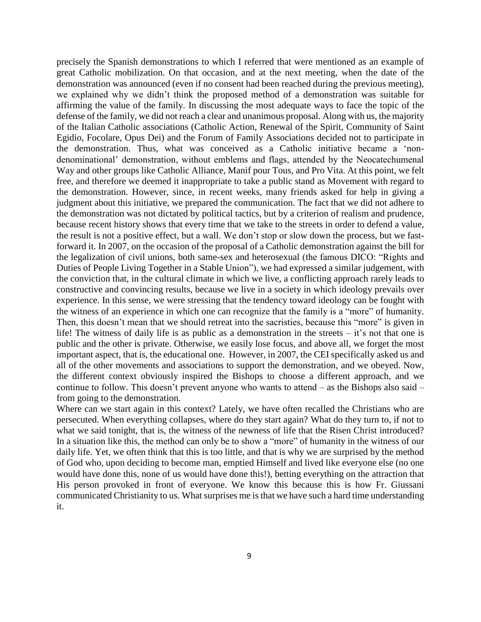precisely the Spanish demonstrations to which I referred that were mentioned as an example of great Catholic mobilization. On that occasion, and at the next meeting, when the date of the demonstration was announced (even if no consent had been reached during the previous meeting), we explained why we didn't think the proposed method of a demonstration was suitable for affirming the value of the family. In discussing the most adequate ways to face the topic of the defense of the family, we did not reach a clear and unanimous proposal. Along with us, the majority of the Italian Catholic associations (Catholic Action, Renewal of the Spirit, Community of Saint Egidio, Focolare, Opus Dei) and the Forum of Family Associations decided not to participate in the demonstration. Thus, what was conceived as a Catholic initiative became a 'nondenominational' demonstration, without emblems and flags, attended by the Neocatechumenal Way and other groups like Catholic Alliance, Manif pour Tous, and Pro Vita. At this point, we felt free, and therefore we deemed it inappropriate to take a public stand as Movement with regard to the demonstration. However, since, in recent weeks, many friends asked for help in giving a judgment about this initiative, we prepared the communication. The fact that we did not adhere to the demonstration was not dictated by political tactics, but by a criterion of realism and prudence, because recent history shows that every time that we take to the streets in order to defend a value, the result is not a positive effect, but a wall. We don't stop or slow down the process, but we fastforward it. In 2007, on the occasion of the proposal of a Catholic demonstration against the bill for the legalization of civil unions, both same-sex and heterosexual (the famous DICO: "Rights and Duties of People Living Together in a Stable Union"), we had expressed a similar judgement, with the conviction that, in the cultural climate in which we live, a conflicting approach rarely leads to constructive and convincing results, because we live in a society in which ideology prevails over experience. In this sense, we were stressing that the tendency toward ideology can be fought with the witness of an experience in which one can recognize that the family is a "more" of humanity. Then, this doesn't mean that we should retreat into the sacristies, because this "more" is given in life! The witness of daily life is as public as a demonstration in the streets – it's not that one is public and the other is private. Otherwise, we easily lose focus, and above all, we forget the most important aspect, that is, the educational one. However, in 2007, the CEI specifically asked us and all of the other movements and associations to support the demonstration, and we obeyed. Now, the different context obviously inspired the Bishops to choose a different approach, and we continue to follow. This doesn't prevent anyone who wants to attend – as the Bishops also said – from going to the demonstration.

Where can we start again in this context? Lately, we have often recalled the Christians who are persecuted. When everything collapses, where do they start again? What do they turn to, if not to what we said tonight, that is, the witness of the newness of life that the Risen Christ introduced? In a situation like this, the method can only be to show a "more" of humanity in the witness of our daily life. Yet, we often think that this is too little, and that is why we are surprised by the method of God who, upon deciding to become man, emptied Himself and lived like everyone else (no one would have done this, none of us would have done this!), betting everything on the attraction that His person provoked in front of everyone. We know this because this is how Fr. Giussani communicated Christianity to us. What surprises me is that we have such a hard time understanding it.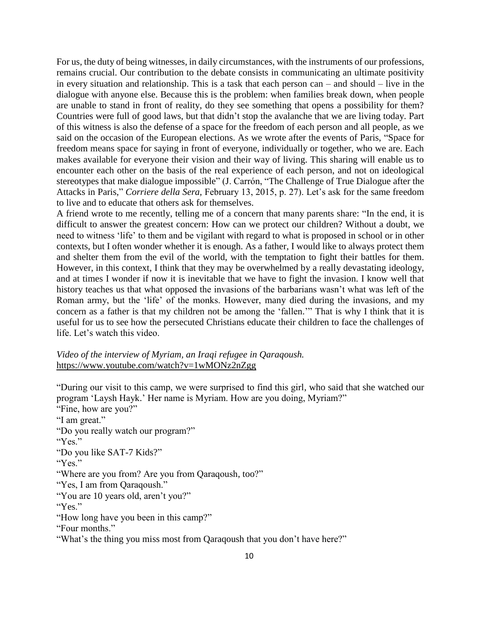For us, the duty of being witnesses, in daily circumstances, with the instruments of our professions, remains crucial. Our contribution to the debate consists in communicating an ultimate positivity in every situation and relationship. This is a task that each person can – and should – live in the dialogue with anyone else. Because this is the problem: when families break down, when people are unable to stand in front of reality, do they see something that opens a possibility for them? Countries were full of good laws, but that didn't stop the avalanche that we are living today. Part of this witness is also the defense of a space for the freedom of each person and all people, as we said on the occasion of the European elections. As we wrote after the events of Paris, "Space for freedom means space for saying in front of everyone, individually or together, who we are. Each makes available for everyone their vision and their way of living. This sharing will enable us to encounter each other on the basis of the real experience of each person, and not on ideological stereotypes that make dialogue impossible" (J. Carrón, "The Challenge of True Dialogue after the Attacks in Paris," *Corriere della Sera,* February 13, 2015, p. 27). Let's ask for the same freedom to live and to educate that others ask for themselves.

A friend wrote to me recently, telling me of a concern that many parents share: "In the end, it is difficult to answer the greatest concern: How can we protect our children? Without a doubt, we need to witness 'life' to them and be vigilant with regard to what is proposed in school or in other contexts, but I often wonder whether it is enough. As a father, I would like to always protect them and shelter them from the evil of the world, with the temptation to fight their battles for them. However, in this context, I think that they may be overwhelmed by a really devastating ideology, and at times I wonder if now it is inevitable that we have to fight the invasion. I know well that history teaches us that what opposed the invasions of the barbarians wasn't what was left of the Roman army, but the 'life' of the monks. However, many died during the invasions, and my concern as a father is that my children not be among the 'fallen.'" That is why I think that it is useful for us to see how the persecuted Christians educate their children to face the challenges of life. Let's watch this video.

## *Video of the interview of Myriam, an Iraqi refugee in Qaraqoush.* <https://www.youtube.com/watch?v=1wMONz2nZgg>

"During our visit to this camp, we were surprised to find this girl, who said that she watched our program 'Laysh Hayk.' Her name is Myriam. How are you doing, Myriam?"

"Fine, how are you?" "I am great." "Do you really watch our program?" "Yes." "Do you like SAT-7 Kids?" "Yes." "Where are you from? Are you from Qaraqoush, too?" "Yes, I am from Qaraqoush." "You are 10 years old, aren't you?" "Yes." "How long have you been in this camp?" "Four months." "What's the thing you miss most from Qaraqoush that you don't have here?"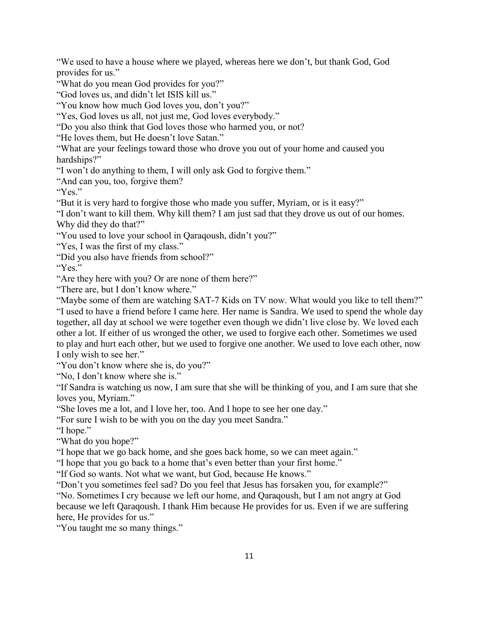"We used to have a house where we played, whereas here we don't, but thank God, God provides for us."

"What do you mean God provides for you?"

"God loves us, and didn't let ISIS kill us."

"You know how much God loves you, don't you?"

"Yes, God loves us all, not just me, God loves everybody."

"Do you also think that God loves those who harmed you, or not?

"He loves them, but He doesn't love Satan."

"What are your feelings toward those who drove you out of your home and caused you hardships?"

"I won't do anything to them, I will only ask God to forgive them."

"And can you, too, forgive them?

"Yes"

"But it is very hard to forgive those who made you suffer, Myriam, or is it easy?"

"I don't want to kill them. Why kill them? I am just sad that they drove us out of our homes. Why did they do that?"

"You used to love your school in Qaraqoush, didn't you?"

"Yes, I was the first of my class."

"Did you also have friends from school?"

"Yes."

"Are they here with you? Or are none of them here?"

"There are, but I don't know where."

"Maybe some of them are watching SAT-7 Kids on TV now. What would you like to tell them?" "I used to have a friend before I came here. Her name is Sandra. We used to spend the whole day together, all day at school we were together even though we didn't live close by. We loved each other a lot. If either of us wronged the other, we used to forgive each other. Sometimes we used to play and hurt each other, but we used to forgive one another. We used to love each other, now I only wish to see her."

"You don't know where she is, do you?"

"No, I don't know where she is."

"If Sandra is watching us now, I am sure that she will be thinking of you, and I am sure that she loves you, Myriam."

"She loves me a lot, and I love her, too. And I hope to see her one day."

"For sure I wish to be with you on the day you meet Sandra."

"I hope."

"What do you hope?"

"I hope that we go back home, and she goes back home, so we can meet again."

"I hope that you go back to a home that's even better than your first home."

"If God so wants. Not what we want, but God, because He knows."

"Don't you sometimes feel sad? Do you feel that Jesus has forsaken you, for example?"

"No. Sometimes I cry because we left our home, and Qaraqoush, but I am not angry at God because we left Qaraqoush. I thank Him because He provides for us. Even if we are suffering here, He provides for us."

"You taught me so many things."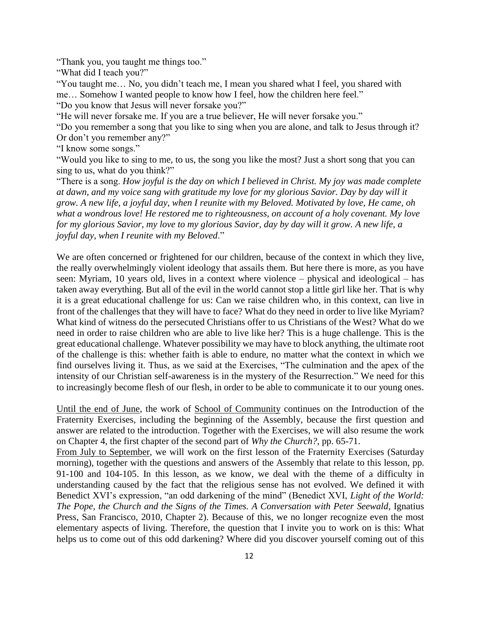"Thank you, you taught me things too."

"What did I teach you?"

"You taught me… No, you didn't teach me, I mean you shared what I feel, you shared with me… Somehow I wanted people to know how I feel, how the children here feel."

"Do you know that Jesus will never forsake you?"

"He will never forsake me. If you are a true believer, He will never forsake you."

"Do you remember a song that you like to sing when you are alone, and talk to Jesus through it? Or don't you remember any?"

"I know some songs."

"Would you like to sing to me, to us, the song you like the most? Just a short song that you can sing to us, what do you think?"

"There is a song. *How joyful is the day on which I believed in Christ. My joy was made complete at dawn, and my voice sang with gratitude my love for my glorious Savior. Day by day will it grow. A new life, a joyful day, when I reunite with my Beloved. Motivated by love, He came, oh what a wondrous love! He restored me to righteousness, on account of a holy covenant. My love for my glorious Savior, my love to my glorious Savior, day by day will it grow. A new life, a joyful day, when I reunite with my Beloved*."

We are often concerned or frightened for our children, because of the context in which they live, the really overwhelmingly violent ideology that assails them. But here there is more, as you have seen: Myriam, 10 years old, lives in a context where violence – physical and ideological – has taken away everything. But all of the evil in the world cannot stop a little girl like her. That is why it is a great educational challenge for us: Can we raise children who, in this context, can live in front of the challenges that they will have to face? What do they need in order to live like Myriam? What kind of witness do the persecuted Christians offer to us Christians of the West? What do we need in order to raise children who are able to live like her? This is a huge challenge. This is the great educational challenge. Whatever possibility we may have to block anything, the ultimate root of the challenge is this: whether faith is able to endure, no matter what the context in which we find ourselves living it. Thus, as we said at the Exercises, "The culmination and the apex of the intensity of our Christian self-awareness is in the mystery of the Resurrection." We need for this to increasingly become flesh of our flesh, in order to be able to communicate it to our young ones.

Until the end of June, the work of School of Community continues on the Introduction of the Fraternity Exercises, including the beginning of the Assembly, because the first question and answer are related to the introduction. Together with the Exercises, we will also resume the work on Chapter 4, the first chapter of the second part of *Why the Church?*, pp. 65-71.

From July to September, we will work on the first lesson of the Fraternity Exercises (Saturday morning), together with the questions and answers of the Assembly that relate to this lesson, pp. 91-100 and 104-105. In this lesson, as we know, we deal with the theme of a difficulty in understanding caused by the fact that the religious sense has not evolved. We defined it with Benedict XVI's expression, "an odd darkening of the mind" (Benedict XVI, *Light of the World: The Pope, the Church and the Signs of the Times. A Conversation with Peter Seewald*, Ignatius Press, San Francisco, 2010, Chapter 2). Because of this, we no longer recognize even the most elementary aspects of living. Therefore, the question that I invite you to work on is this: What helps us to come out of this odd darkening? Where did you discover yourself coming out of this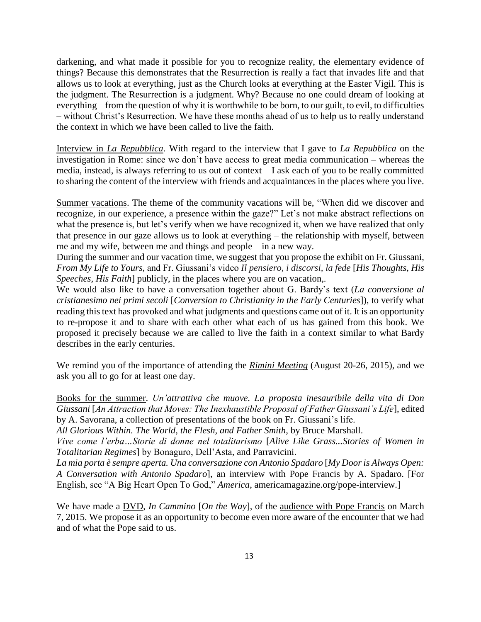darkening, and what made it possible for you to recognize reality, the elementary evidence of things? Because this demonstrates that the Resurrection is really a fact that invades life and that allows us to look at everything, just as the Church looks at everything at the Easter Vigil. This is the judgment. The Resurrection is a judgment. Why? Because no one could dream of looking at everything – from the question of why it is worthwhile to be born, to our guilt, to evil, to difficulties – without Christ's Resurrection. We have these months ahead of us to help us to really understand the context in which we have been called to live the faith.

Interview in *La Repubblica*. With regard to the interview that I gave to *La Repubblica* on the investigation in Rome: since we don't have access to great media communication – whereas the media, instead, is always referring to us out of context – I ask each of you to be really committed to sharing the content of the interview with friends and acquaintances in the places where you live.

Summer vacations. The theme of the community vacations will be, "When did we discover and recognize, in our experience, a presence within the gaze?" Let's not make abstract reflections on what the presence is, but let's verify when we have recognized it, when we have realized that only that presence in our gaze allows us to look at everything – the relationship with myself, between me and my wife, between me and things and people – in a new way.

During the summer and our vacation time, we suggest that you propose the exhibit on Fr. Giussani, *From My Life to Yours*, and Fr. Giussani's video *Il pensiero, i discorsi, la fede* [*His Thoughts, His Speeches, His Faith*] publicly, in the places where you are on vacation,*.*

We would also like to have a conversation together about G. Bardy's text (*La conversione al cristianesimo nei primi secoli* [*Conversion to Christianity in the Early Centuries*]), to verify what reading this text has provoked and what judgments and questions came out of it. It is an opportunity to re-propose it and to share with each other what each of us has gained from this book. We proposed it precisely because we are called to live the faith in a context similar to what Bardy describes in the early centuries.

We remind you of the importance of attending the *Rimini Meeting* (August 20-26, 2015), and we ask you all to go for at least one day.

Books for the summer. *Un'attrattiva che muove. La proposta inesauribile della vita di Don Giussani* [*An Attraction that Moves: The Inexhaustible Proposal of Father Giussani's Life*], edited by A. Savorana, a collection of presentations of the book on Fr. Giussani's life.

*All Glorious Within. [The World, the Flesh, and Father Smith](https://en.wikipedia.org/wiki/The_World,_the_Flesh,_and_Father_Smith)*, by Bruce Marshall.

*Vive come l'erba…Storie di donne nel totalitarismo* [*Alive Like Grass...Stories of Women in Totalitarian Regimes*] by Bonaguro, Dell'Asta, and Parravicini.

*La mia porta è sempre aperta. Una conversazione con Antonio Spadaro* [*My Door is Always Open: A Conversation with Antonio Spadaro*], an interview with Pope Francis by A. Spadaro. [For English, see "A Big Heart Open To God," *America*, americamagazine.org/pope-interview.]

We have made a DVD, *In Cammino* [*On the Way*], of the audience with Pope Francis on March 7, 2015. We propose it as an opportunity to become even more aware of the encounter that we had and of what the Pope said to us.